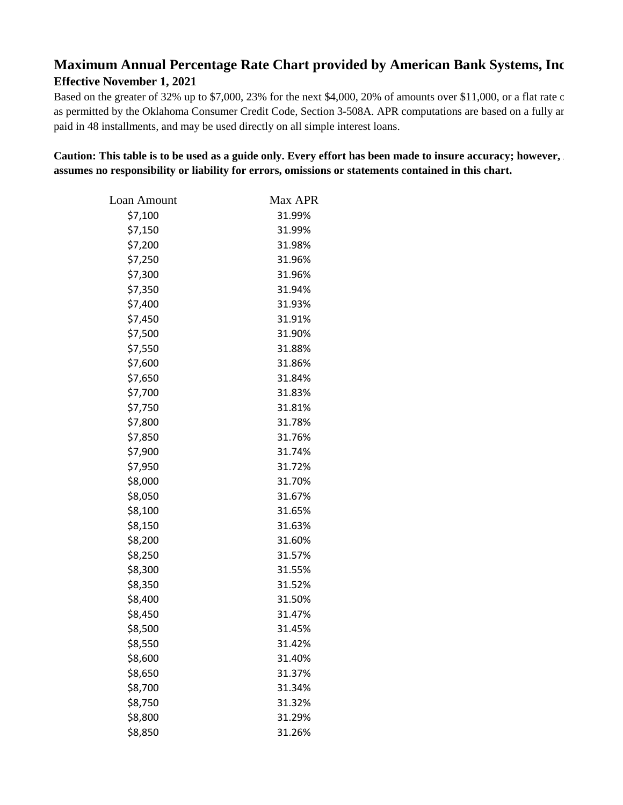## **Maximum Annual Percentage Rate Chart provided by American Bank Systems, Inc. Effective November 1, 2021**

Based on the greater of 32% up to \$7,000, 23% for the next \$4,000, 20% of amounts over \$11,000, or a flat rate o as permitted by the Oklahoma Consumer Credit Code, Section 3-508A. APR computations are based on a fully ar paid in 48 installments, and may be used directly on all simple interest loans.

Caution: This table is to be used as a guide only. Every effort has been made to insure accuracy; however, . **assumes no responsibility or liability for errors, omissions or statements contained in this chart.**

| Loan Amount | Max APR |
|-------------|---------|
| \$7,100     | 31.99%  |
| \$7,150     | 31.99%  |
| \$7,200     | 31.98%  |
| \$7,250     | 31.96%  |
| \$7,300     | 31.96%  |
| \$7,350     | 31.94%  |
| \$7,400     | 31.93%  |
| \$7,450     | 31.91%  |
| \$7,500     | 31.90%  |
| \$7,550     | 31.88%  |
| \$7,600     | 31.86%  |
| \$7,650     | 31.84%  |
| \$7,700     | 31.83%  |
| \$7,750     | 31.81%  |
| \$7,800     | 31.78%  |
| \$7,850     | 31.76%  |
| \$7,900     | 31.74%  |
| \$7,950     | 31.72%  |
| \$8,000     | 31.70%  |
| \$8,050     | 31.67%  |
| \$8,100     | 31.65%  |
| \$8,150     | 31.63%  |
| \$8,200     | 31.60%  |
| \$8,250     | 31.57%  |
| \$8,300     | 31.55%  |
| \$8,350     | 31.52%  |
| \$8,400     | 31.50%  |
| \$8,450     | 31.47%  |
| \$8,500     | 31.45%  |
| \$8,550     | 31.42%  |
| \$8,600     | 31.40%  |
| \$8,650     | 31.37%  |
| \$8,700     | 31.34%  |
| \$8,750     | 31.32%  |
| \$8,800     | 31.29%  |
| \$8,850     | 31.26%  |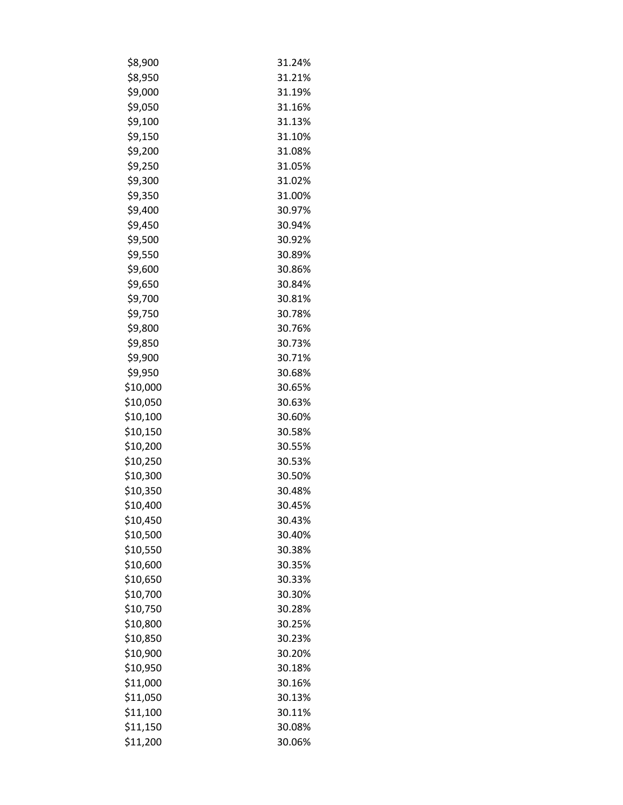| \$8,900  | 31.24% |
|----------|--------|
| \$8,950  | 31.21% |
| \$9,000  | 31.19% |
| \$9,050  | 31.16% |
| \$9,100  | 31.13% |
| \$9,150  | 31.10% |
| \$9,200  | 31.08% |
| \$9,250  | 31.05% |
| \$9,300  | 31.02% |
| \$9,350  | 31.00% |
| \$9,400  | 30.97% |
| \$9,450  | 30.94% |
| \$9,500  | 30.92% |
| \$9,550  | 30.89% |
| \$9,600  | 30.86% |
| \$9,650  | 30.84% |
| \$9,700  | 30.81% |
| \$9,750  | 30.78% |
| \$9,800  | 30.76% |
| \$9,850  | 30.73% |
| \$9,900  | 30.71% |
| \$9,950  | 30.68% |
| \$10,000 | 30.65% |
| \$10,050 | 30.63% |
| \$10,100 | 30.60% |
| \$10,150 | 30.58% |
| \$10,200 | 30.55% |
| \$10,250 | 30.53% |
| \$10,300 | 30.50% |
| \$10,350 | 30.48% |
| \$10,400 | 30.45% |
| \$10,450 | 30.43% |
| \$10,500 | 30.40% |
| \$10,550 | 30.38% |
| \$10,600 | 30.35% |
| \$10,650 | 30.33% |
| \$10,700 | 30.30% |
| \$10,750 | 30.28% |
| \$10,800 | 30.25% |
| \$10,850 | 30.23% |
| \$10,900 | 30.20% |
| \$10,950 | 30.18% |
| \$11,000 | 30.16% |
| \$11,050 | 30.13% |
| \$11,100 | 30.11% |
| \$11,150 | 30.08% |
| \$11,200 | 30.06% |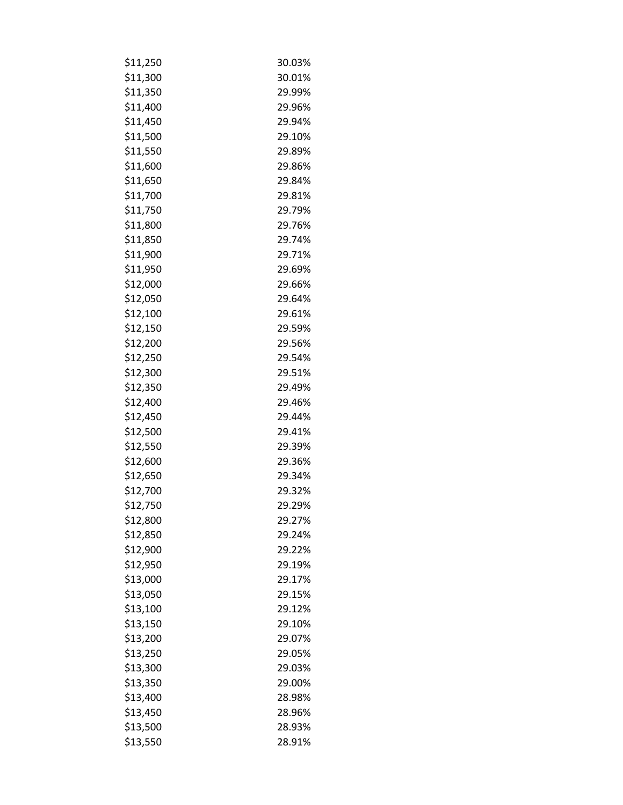| \$11,250 | 30.03% |
|----------|--------|
| \$11,300 | 30.01% |
| \$11,350 | 29.99% |
| \$11,400 | 29.96% |
| \$11,450 | 29.94% |
| \$11,500 | 29.10% |
| \$11,550 | 29.89% |
| \$11,600 | 29.86% |
| \$11,650 | 29.84% |
| \$11,700 | 29.81% |
| \$11,750 | 29.79% |
| \$11,800 | 29.76% |
| \$11,850 | 29.74% |
| \$11,900 | 29.71% |
| \$11,950 | 29.69% |
| \$12,000 | 29.66% |
| \$12,050 | 29.64% |
| \$12,100 | 29.61% |
| \$12,150 | 29.59% |
| \$12,200 | 29.56% |
| \$12,250 | 29.54% |
| \$12,300 | 29.51% |
| \$12,350 | 29.49% |
| \$12,400 | 29.46% |
| \$12,450 | 29.44% |
| \$12,500 | 29.41% |
| \$12,550 | 29.39% |
| \$12,600 | 29.36% |
| \$12,650 | 29.34% |
| \$12,700 | 29.32% |
| \$12,750 | 29.29% |
| \$12,800 | 29.27% |
| \$12,850 | 29.24% |
| \$12,900 | 29.22% |
| \$12,950 | 29.19% |
| \$13,000 | 29.17% |
| \$13,050 | 29.15% |
| \$13,100 | 29.12% |
| \$13,150 | 29.10% |
| \$13,200 | 29.07% |
| \$13,250 | 29.05% |
| \$13,300 | 29.03% |
| \$13,350 | 29.00% |
| \$13,400 | 28.98% |
| \$13,450 | 28.96% |
| \$13,500 | 28.93% |
| \$13,550 | 28.91% |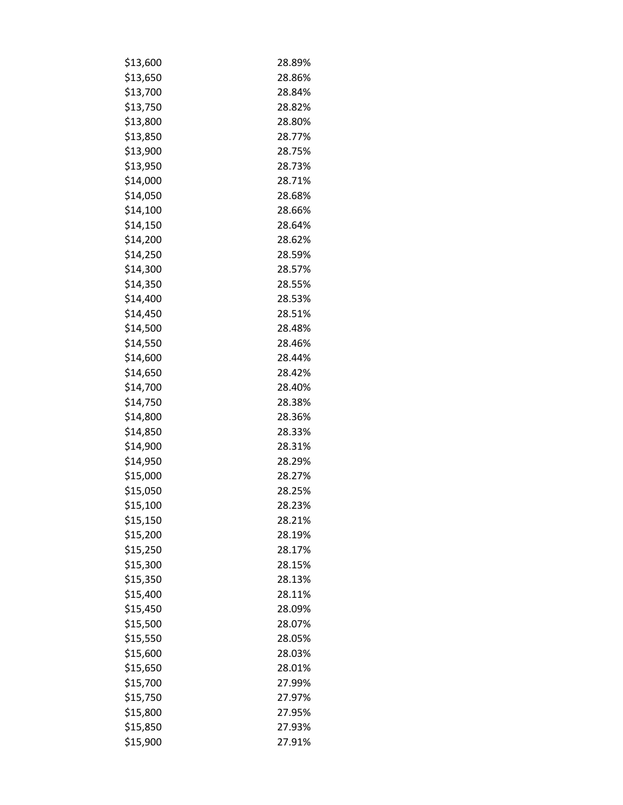| \$13,600 | 28.89% |
|----------|--------|
| \$13,650 | 28.86% |
| \$13,700 | 28.84% |
| \$13,750 | 28.82% |
| \$13,800 | 28.80% |
| \$13,850 | 28.77% |
| \$13,900 | 28.75% |
| \$13,950 | 28.73% |
| \$14,000 | 28.71% |
| \$14,050 | 28.68% |
| \$14,100 | 28.66% |
| \$14,150 | 28.64% |
| \$14,200 | 28.62% |
| \$14,250 | 28.59% |
| \$14,300 | 28.57% |
| \$14,350 | 28.55% |
| \$14,400 | 28.53% |
| \$14,450 | 28.51% |
| \$14,500 | 28.48% |
| \$14,550 | 28.46% |
| \$14,600 | 28.44% |
| \$14,650 | 28.42% |
| \$14,700 | 28.40% |
| \$14,750 | 28.38% |
| \$14,800 | 28.36% |
| \$14,850 | 28.33% |
| \$14,900 | 28.31% |
| \$14,950 | 28.29% |
| \$15,000 | 28.27% |
| \$15,050 | 28.25% |
| \$15,100 | 28.23% |
| \$15,150 | 28.21% |
| \$15,200 | 28.19% |
| \$15,250 | 28.17% |
| \$15,300 | 28.15% |
| \$15,350 | 28.13% |
| \$15,400 | 28.11% |
| \$15,450 | 28.09% |
| \$15,500 | 28.07% |
| \$15,550 | 28.05% |
| \$15,600 | 28.03% |
| \$15,650 | 28.01% |
| \$15,700 | 27.99% |
| \$15,750 | 27.97% |
| \$15,800 | 27.95% |
| \$15,850 | 27.93% |
| \$15,900 | 27.91% |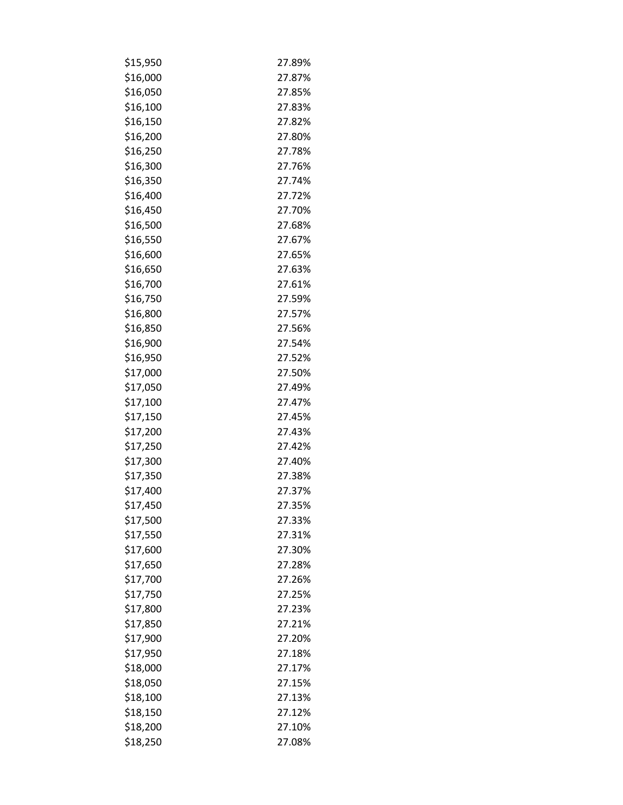| \$15,950 | 27.89% |
|----------|--------|
| \$16,000 | 27.87% |
| \$16,050 | 27.85% |
| \$16,100 | 27.83% |
| \$16,150 | 27.82% |
| \$16,200 | 27.80% |
| \$16,250 | 27.78% |
| \$16,300 | 27.76% |
| \$16,350 | 27.74% |
| \$16,400 | 27.72% |
| \$16,450 | 27.70% |
| \$16,500 | 27.68% |
| \$16,550 | 27.67% |
| \$16,600 | 27.65% |
| \$16,650 | 27.63% |
| \$16,700 | 27.61% |
| \$16,750 | 27.59% |
| \$16,800 | 27.57% |
| \$16,850 | 27.56% |
| \$16,900 | 27.54% |
| \$16,950 | 27.52% |
| \$17,000 | 27.50% |
| \$17,050 | 27.49% |
| \$17,100 | 27.47% |
| \$17,150 | 27.45% |
| \$17,200 | 27.43% |
| \$17,250 | 27.42% |
| \$17,300 | 27.40% |
| \$17,350 | 27.38% |
| \$17,400 | 27.37% |
| \$17,450 | 27.35% |
| \$17,500 | 27.33% |
| \$17,550 | 27.31% |
| \$17,600 | 27.30% |
| \$17,650 | 27.28% |
| \$17,700 | 27.26% |
| \$17,750 | 27.25% |
| \$17,800 | 27.23% |
| \$17,850 | 27.21% |
| \$17,900 | 27.20% |
| \$17,950 | 27.18% |
| \$18,000 | 27.17% |
| \$18,050 | 27.15% |
| \$18,100 | 27.13% |
| \$18,150 | 27.12% |
| \$18,200 | 27.10% |
| \$18,250 | 27.08% |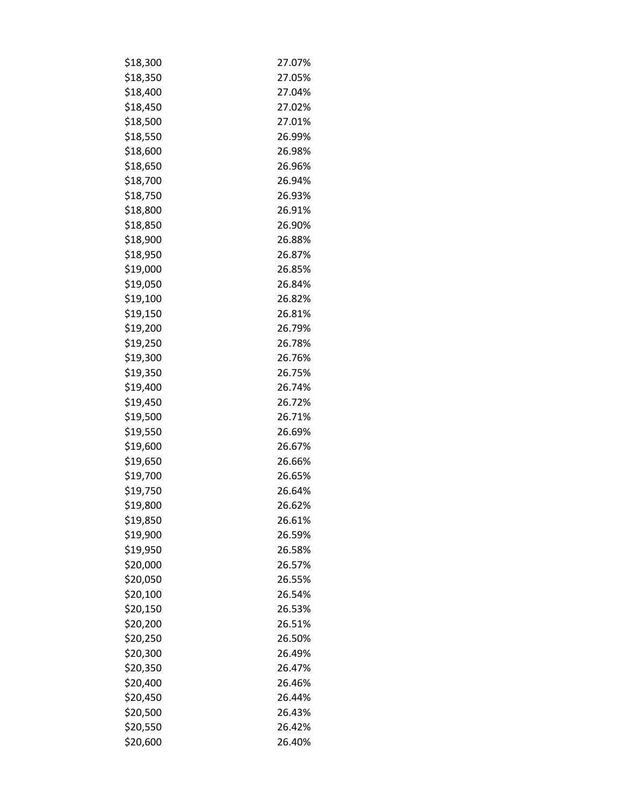| \$18,300 | 27.07% |
|----------|--------|
| \$18,350 | 27.05% |
| \$18,400 | 27.04% |
| \$18,450 | 27.02% |
| \$18,500 | 27.01% |
| \$18,550 | 26.99% |
| \$18,600 | 26.98% |
| \$18,650 | 26.96% |
| \$18,700 | 26.94% |
| \$18,750 | 26.93% |
| \$18,800 | 26.91% |
| \$18,850 | 26.90% |
| \$18,900 | 26.88% |
| \$18,950 | 26.87% |
| \$19,000 | 26.85% |
| \$19,050 | 26.84% |
| \$19,100 | 26.82% |
| \$19,150 | 26.81% |
| \$19,200 | 26.79% |
| \$19,250 | 26.78% |
| \$19,300 | 26.76% |
| \$19,350 | 26.75% |
| \$19,400 | 26.74% |
| \$19,450 | 26.72% |
| \$19,500 | 26.71% |
| \$19,550 | 26.69% |
| \$19,600 | 26.67% |
| \$19,650 | 26.66% |
| \$19,700 | 26.65% |
| \$19,750 | 26.64% |
| \$19,800 | 26.62% |
| \$19,850 | 26.61% |
| \$19,900 | 26.59% |
| \$19,950 | 26.58% |
| \$20,000 | 26.57% |
| \$20,050 | 26.55% |
| \$20,100 | 26.54% |
| \$20,150 | 26.53% |
| \$20,200 | 26.51% |
| \$20,250 | 26.50% |
| \$20,300 | 26.49% |
| \$20,350 | 26.47% |
| \$20,400 | 26.46% |
| \$20,450 | 26.44% |
| \$20,500 | 26.43% |
| \$20,550 | 26.42% |
| \$20,600 | 26.40% |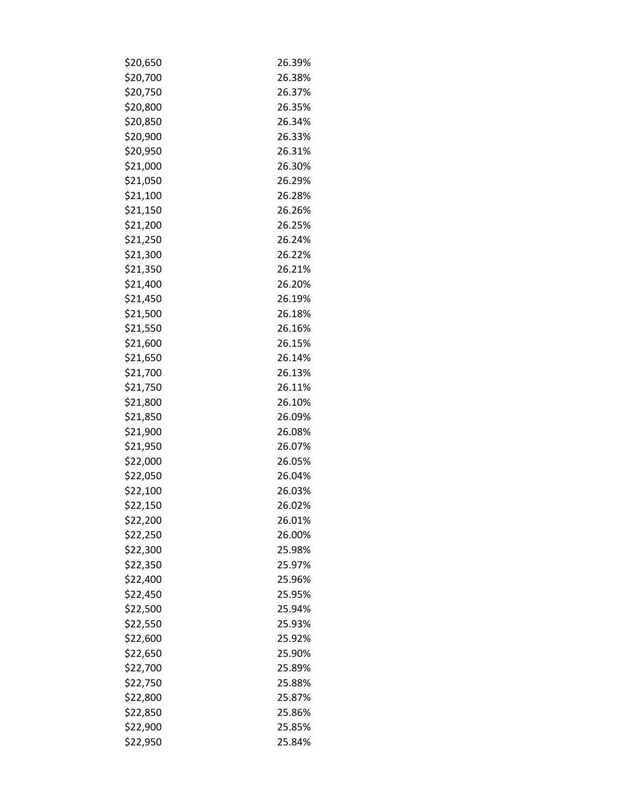| \$20,650 | 26.39% |
|----------|--------|
| \$20,700 | 26.38% |
| \$20,750 | 26.37% |
| \$20,800 | 26.35% |
| \$20,850 | 26.34% |
| \$20,900 | 26.33% |
| \$20,950 | 26.31% |
| \$21,000 | 26.30% |
| \$21,050 | 26.29% |
| \$21,100 | 26.28% |
| \$21,150 | 26.26% |
| \$21,200 | 26.25% |
| \$21,250 | 26.24% |
| \$21,300 | 26.22% |
| \$21,350 | 26.21% |
| \$21,400 | 26.20% |
| \$21,450 | 26.19% |
| \$21,500 | 26.18% |
| \$21,550 | 26.16% |
| \$21,600 | 26.15% |
| \$21,650 | 26.14% |
| \$21,700 | 26.13% |
| \$21,750 | 26.11% |
| \$21,800 | 26.10% |
| \$21,850 | 26.09% |
| \$21,900 | 26.08% |
| \$21,950 | 26.07% |
| \$22,000 | 26.05% |
| \$22,050 | 26.04% |
| \$22,100 | 26.03% |
| \$22,150 | 26.02% |
| \$22,200 | 26.01% |
| \$22,250 | 26.00% |
| \$22,300 | 25.98% |
| \$22,350 | 25.97% |
| \$22,400 | 25.96% |
| \$22,450 | 25.95% |
| \$22,500 | 25.94% |
| \$22,550 | 25.93% |
| \$22,600 | 25.92% |
| \$22,650 | 25.90% |
| \$22,700 | 25.89% |
| \$22,750 | 25.88% |
| \$22,800 | 25.87% |
| \$22,850 | 25.86% |
| \$22,900 | 25.85% |
| \$22,950 | 25.84% |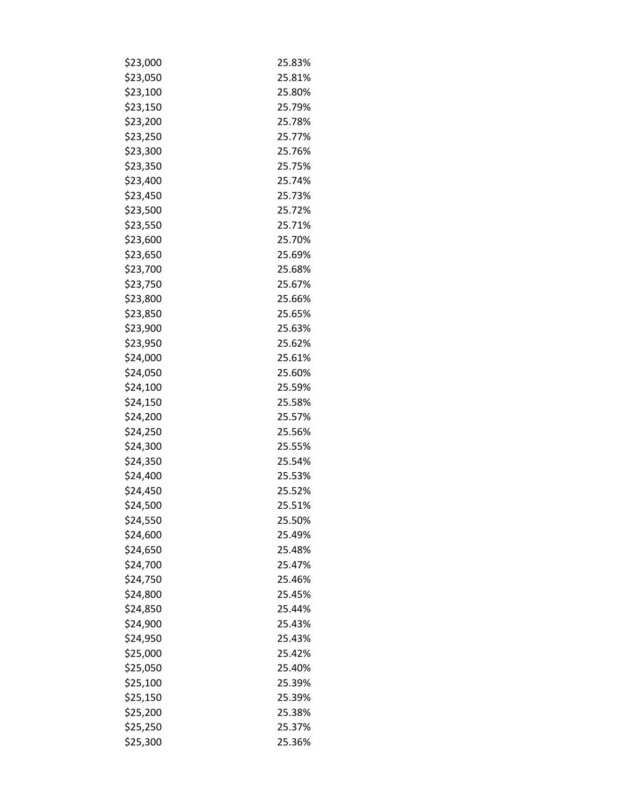| \$23,000 | 25.83% |
|----------|--------|
| \$23,050 | 25.81% |
| \$23,100 | 25.80% |
| \$23,150 | 25.79% |
| \$23,200 | 25.78% |
| \$23,250 | 25.77% |
| \$23,300 | 25.76% |
| \$23,350 | 25.75% |
| \$23,400 | 25.74% |
| \$23,450 | 25.73% |
| \$23,500 | 25.72% |
| \$23,550 | 25.71% |
| \$23,600 | 25.70% |
| \$23,650 | 25.69% |
| \$23,700 | 25.68% |
| \$23,750 | 25.67% |
| \$23,800 | 25.66% |
| \$23,850 | 25.65% |
| \$23,900 | 25.63% |
| \$23,950 | 25.62% |
| \$24,000 | 25.61% |
| \$24,050 | 25.60% |
| \$24,100 | 25.59% |
| \$24,150 | 25.58% |
| \$24,200 | 25.57% |
| \$24,250 | 25.56% |
| \$24,300 | 25.55% |
| \$24,350 | 25.54% |
| \$24,400 | 25.53% |
| \$24,450 | 25.52% |
| \$24,500 | 25.51% |
| \$24,550 | 25.50% |
| \$24,600 | 25.49% |
| \$24,650 | 25.48% |
| \$24,700 | 25.47% |
| \$24,750 | 25.46% |
| \$24,800 | 25.45% |
| \$24,850 | 25.44% |
| \$24,900 | 25.43% |
| \$24,950 | 25.43% |
| \$25,000 | 25.42% |
| \$25,050 | 25.40% |
| \$25,100 | 25.39% |
| \$25,150 | 25.39% |
| \$25,200 | 25.38% |
| \$25,250 | 25.37% |
| \$25,300 | 25.36% |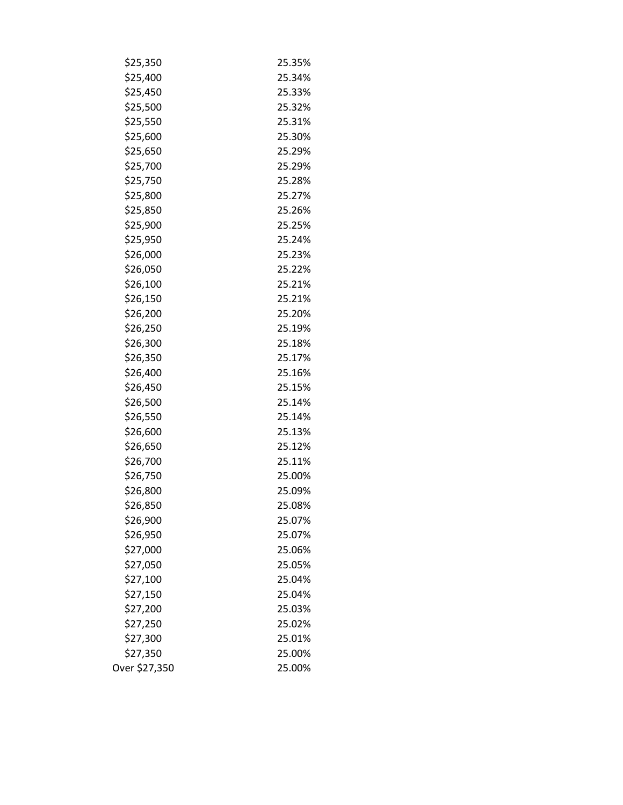| \$25,350      | 25.35% |
|---------------|--------|
| \$25,400      | 25.34% |
| \$25,450      | 25.33% |
| \$25,500      | 25.32% |
| \$25,550      | 25.31% |
| \$25,600      | 25.30% |
| \$25,650      | 25.29% |
| \$25,700      | 25.29% |
| \$25,750      | 25.28% |
| \$25,800      | 25.27% |
| \$25,850      | 25.26% |
| \$25,900      | 25.25% |
| \$25,950      | 25.24% |
| \$26,000      | 25.23% |
| \$26,050      | 25.22% |
| \$26,100      | 25.21% |
| \$26,150      | 25.21% |
| \$26,200      | 25.20% |
| \$26,250      | 25.19% |
| \$26,300      | 25.18% |
| \$26,350      | 25.17% |
| \$26,400      | 25.16% |
| \$26,450      | 25.15% |
| \$26,500      | 25.14% |
| \$26,550      | 25.14% |
| \$26,600      | 25.13% |
| \$26,650      | 25.12% |
| \$26,700      | 25.11% |
| \$26,750      | 25.00% |
| \$26,800      | 25.09% |
| \$26,850      | 25.08% |
| \$26,900      | 25.07% |
| \$26,950      | 25.07% |
| \$27,000      | 25.06% |
| \$27,050      | 25.05% |
| \$27,100      | 25.04% |
| \$27,150      | 25.04% |
| \$27,200      | 25.03% |
| \$27,250      | 25.02% |
| \$27,300      | 25.01% |
| \$27,350      | 25.00% |
| Over \$27,350 | 25.00% |